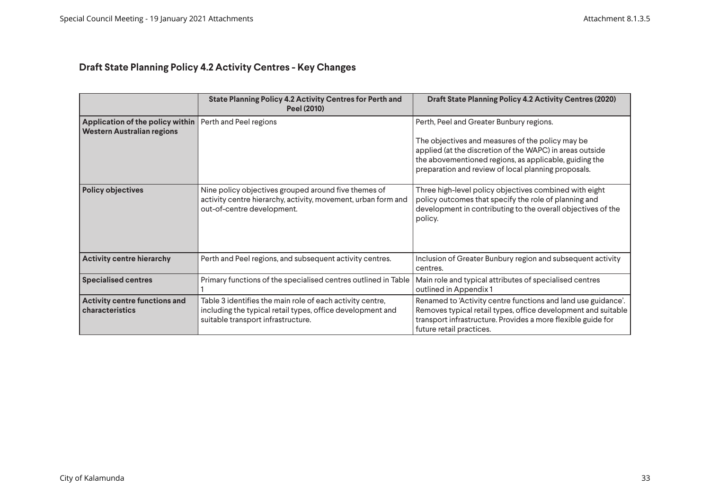## **Draft State Planning Policy 4.2 Activity Centres - Key Changes**

|                                                                       | State Planning Policy 4.2 Activity Centres for Perth and<br><b>Peel (2010)</b>                                                                                | <b>Draft State Planning Policy 4.2 Activity Centres (2020)</b>                                                                                                                                                                                                            |
|-----------------------------------------------------------------------|---------------------------------------------------------------------------------------------------------------------------------------------------------------|---------------------------------------------------------------------------------------------------------------------------------------------------------------------------------------------------------------------------------------------------------------------------|
| Application of the policy within<br><b>Western Australian regions</b> | Perth and Peel regions                                                                                                                                        | Perth, Peel and Greater Bunbury regions.<br>The objectives and measures of the policy may be<br>applied (at the discretion of the WAPC) in areas outside<br>the abovementioned regions, as applicable, guiding the<br>preparation and review of local planning proposals. |
| <b>Policy objectives</b>                                              | Nine policy objectives grouped around five themes of<br>activity centre hierarchy, activity, movement, urban form and<br>out-of-centre development.           | Three high-level policy objectives combined with eight<br>policy outcomes that specify the role of planning and<br>development in contributing to the overall objectives of the<br>policy.                                                                                |
| <b>Activity centre hierarchy</b>                                      | Perth and Peel regions, and subsequent activity centres.                                                                                                      | Inclusion of Greater Bunbury region and subsequent activity<br>centres.                                                                                                                                                                                                   |
| <b>Specialised centres</b>                                            | Primary functions of the specialised centres outlined in Table                                                                                                | Main role and typical attributes of specialised centres<br>outlined in Appendix 1                                                                                                                                                                                         |
| Activity centre functions and<br>characteristics                      | Table 3 identifies the main role of each activity centre,<br>including the typical retail types, office development and<br>suitable transport infrastructure. | Renamed to 'Activity centre functions and land use guidance'.<br>Removes typical retail types, office development and suitable<br>transport infrastructure. Provides a more flexible guide for<br>future retail practices.                                                |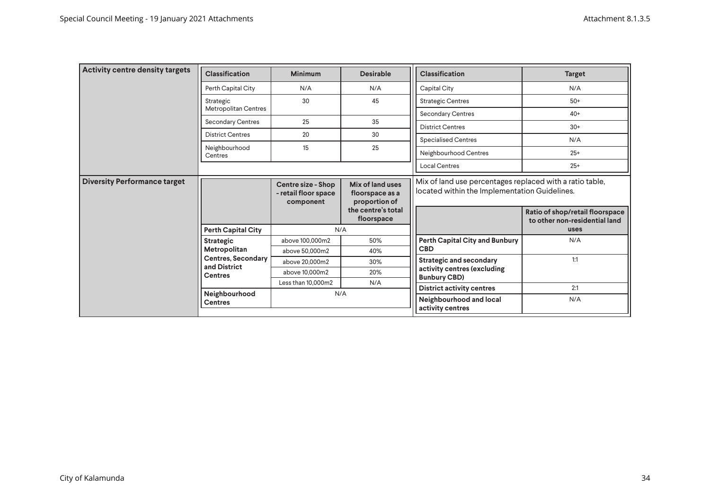| Activity centre density targets                                                                                                                          | <b>Classification</b>       | <b>Minimum</b>                                          | <b>Desirable</b>                                                                         | <b>Classification</b>                                                                                                                                                         | <b>Target</b> |
|----------------------------------------------------------------------------------------------------------------------------------------------------------|-----------------------------|---------------------------------------------------------|------------------------------------------------------------------------------------------|-------------------------------------------------------------------------------------------------------------------------------------------------------------------------------|---------------|
|                                                                                                                                                          | Perth Capital City          | N/A                                                     | N/A                                                                                      | Capital City                                                                                                                                                                  | N/A           |
|                                                                                                                                                          | Strategic                   | 30                                                      | 45                                                                                       | <b>Strategic Centres</b>                                                                                                                                                      | $50+$         |
|                                                                                                                                                          | <b>Metropolitan Centres</b> |                                                         |                                                                                          | <b>Secondary Centres</b>                                                                                                                                                      | $40+$         |
|                                                                                                                                                          | <b>Secondary Centres</b>    | 25                                                      | 35                                                                                       | <b>District Centres</b>                                                                                                                                                       | $30+$         |
|                                                                                                                                                          | <b>District Centres</b>     | 20                                                      | 30                                                                                       | <b>Specialised Centres</b>                                                                                                                                                    | N/A           |
|                                                                                                                                                          | Neighbourhood<br>Centres    | 15                                                      | 25                                                                                       | Neighbourhood Centres                                                                                                                                                         | $25+$         |
|                                                                                                                                                          |                             |                                                         |                                                                                          | <b>Local Centres</b>                                                                                                                                                          | $25+$         |
| <b>Diversity Performance target</b>                                                                                                                      |                             | Centre size - Shop<br>- retail floor space<br>component | Mix of land uses<br>floorspace as a<br>proportion of<br>the centre's total<br>floorspace | Mix of land use percentages replaced with a ratio table,<br>located within the Implementation Guidelines.<br>Ratio of shop/retail floorspace<br>to other non-residential land |               |
| <b>Perth Capital City</b><br>Strategic<br>Metropolitan<br><b>Centres, Secondary</b><br>and District<br><b>Centres</b><br>Neighbourhood<br><b>Centres</b> |                             | N/A                                                     |                                                                                          |                                                                                                                                                                               | uses          |
|                                                                                                                                                          |                             | above 100,000m2                                         | 50%                                                                                      | <b>Perth Capital City and Bunbury</b>                                                                                                                                         | N/A           |
|                                                                                                                                                          |                             | above 50,000m2                                          | 40%                                                                                      | <b>CBD</b>                                                                                                                                                                    |               |
|                                                                                                                                                          | above 20.000m2              | 30%                                                     | <b>Strategic and secondary</b>                                                           | 1:1                                                                                                                                                                           |               |
|                                                                                                                                                          | above 10,000m2              | 20%                                                     | activity centres (excluding<br><b>Bunbury CBD)</b>                                       |                                                                                                                                                                               |               |
|                                                                                                                                                          | Less than 10.000m2          | N/A                                                     | <b>District activity centres</b>                                                         | 2:1                                                                                                                                                                           |               |
|                                                                                                                                                          |                             | N/A                                                     |                                                                                          | Neighbourhood and local<br>activity centres                                                                                                                                   | N/A           |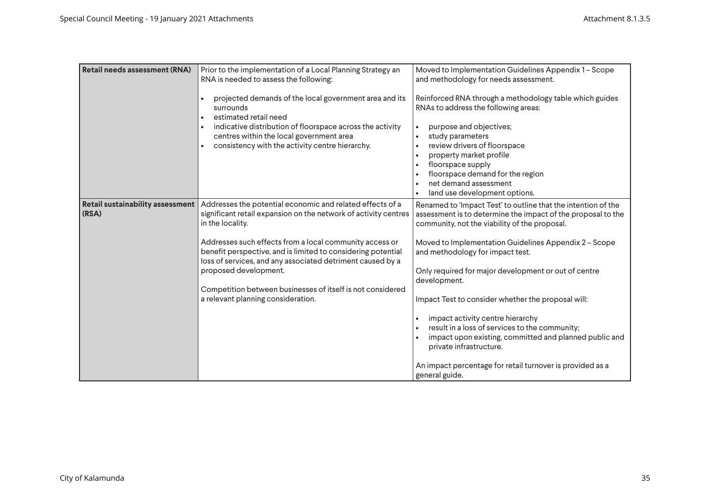| <b>Retail needs assessment (RNA)</b>      | Prior to the implementation of a Local Planning Strategy an<br>RNA is needed to assess the following:<br>projected demands of the local government area and its<br>surrounds<br>estimated retail need<br>indicative distribution of floorspace across the activity<br>centres within the local government area<br>consistency with the activity centre hierarchy.                                                                                                      | Moved to Implementation Guidelines Appendix 1 - Scope<br>and methodology for needs assessment.<br>Reinforced RNA through a methodology table which guides<br>RNAs to address the following areas:<br>purpose and objectives;<br>study parameters<br>review drivers of floorspace<br>property market profile<br>floorspace supply<br>floorspace demand for the region<br>net demand assessment<br>land use development options.                                                                                                                                                                                                                                      |
|-------------------------------------------|------------------------------------------------------------------------------------------------------------------------------------------------------------------------------------------------------------------------------------------------------------------------------------------------------------------------------------------------------------------------------------------------------------------------------------------------------------------------|---------------------------------------------------------------------------------------------------------------------------------------------------------------------------------------------------------------------------------------------------------------------------------------------------------------------------------------------------------------------------------------------------------------------------------------------------------------------------------------------------------------------------------------------------------------------------------------------------------------------------------------------------------------------|
| Retail sustainability assessment<br>(RSA) | Addresses the potential economic and related effects of a<br>significant retail expansion on the network of activity centres<br>in the locality.<br>Addresses such effects from a local community access or<br>benefit perspective, and is limited to considering potential<br>loss of services, and any associated detriment caused by a<br>proposed development.<br>Competition between businesses of itself is not considered<br>a relevant planning consideration. | Renamed to 'Impact Test' to outline that the intention of the<br>assessment is to determine the impact of the proposal to the<br>community, not the viability of the proposal.<br>Moved to Implementation Guidelines Appendix 2 - Scope<br>and methodology for impact test.<br>Only required for major development or out of centre<br>development.<br>Impact Test to consider whether the proposal will:<br>impact activity centre hierarchy<br>result in a loss of services to the community;<br>impact upon existing, committed and planned public and<br>private infrastructure.<br>An impact percentage for retail turnover is provided as a<br>general guide. |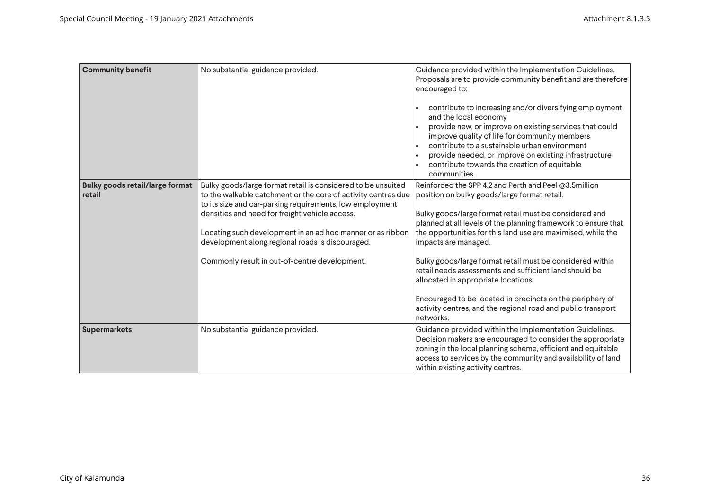| <b>Community benefit</b>                         | No substantial guidance provided.                                                                                                                                                                                                                                                                                                                                                                              | Guidance provided within the Implementation Guidelines.<br>Proposals are to provide community benefit and are therefore<br>encouraged to:<br>contribute to increasing and/or diversifying employment<br>and the local economy<br>provide new, or improve on existing services that could<br>improve quality of life for community members<br>contribute to a sustainable urban environment<br>provide needed, or improve on existing infrastructure<br>contribute towards the creation of equitable<br>communities.                                                                                                               |
|--------------------------------------------------|----------------------------------------------------------------------------------------------------------------------------------------------------------------------------------------------------------------------------------------------------------------------------------------------------------------------------------------------------------------------------------------------------------------|-----------------------------------------------------------------------------------------------------------------------------------------------------------------------------------------------------------------------------------------------------------------------------------------------------------------------------------------------------------------------------------------------------------------------------------------------------------------------------------------------------------------------------------------------------------------------------------------------------------------------------------|
| <b>Bulky goods retail/large format</b><br>retail | Bulky goods/large format retail is considered to be unsuited<br>to the walkable catchment or the core of activity centres due<br>to its size and car-parking requirements, low employment<br>densities and need for freight vehicle access.<br>Locating such development in an ad hoc manner or as ribbon<br>development along regional roads is discouraged.<br>Commonly result in out-of-centre development. | Reinforced the SPP 4.2 and Perth and Peel @3.5million<br>position on bulky goods/large format retail.<br>Bulky goods/large format retail must be considered and<br>planned at all levels of the planning framework to ensure that<br>the opportunities for this land use are maximised, while the<br>impacts are managed.<br>Bulky goods/large format retail must be considered within<br>retail needs assessments and sufficient land should be<br>allocated in appropriate locations.<br>Encouraged to be located in precincts on the periphery of<br>activity centres, and the regional road and public transport<br>networks. |
| Supermarkets                                     | No substantial guidance provided.                                                                                                                                                                                                                                                                                                                                                                              | Guidance provided within the Implementation Guidelines.<br>Decision makers are encouraged to consider the appropriate<br>zoning in the local planning scheme, efficient and equitable<br>access to services by the community and availability of land<br>within existing activity centres.                                                                                                                                                                                                                                                                                                                                        |